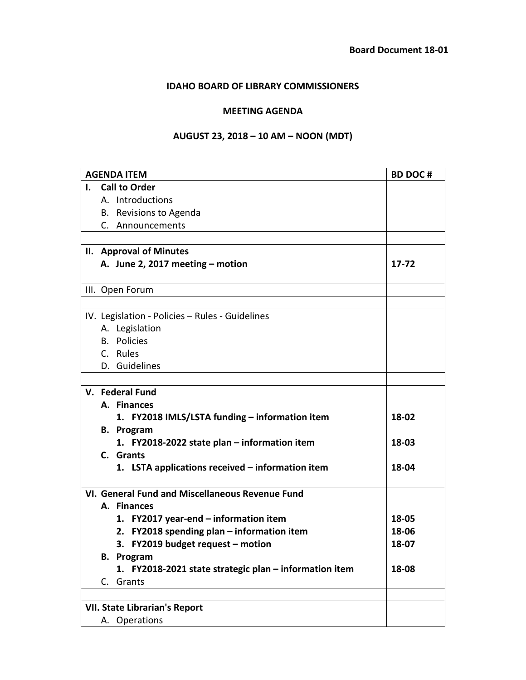## **IDAHO BOARD OF LIBRARY COMMISSIONERS**

## **MEETING AGENDA**

## **AUGUST 23, 2018 – 10 AM – NOON (MDT)**

| <b>AGENDA ITEM</b> |                                                 |                                                        | <b>BD DOC#</b> |  |  |
|--------------------|-------------------------------------------------|--------------------------------------------------------|----------------|--|--|
|                    | <b>Call to Order</b><br>I.                      |                                                        |                |  |  |
|                    |                                                 | A. Introductions                                       |                |  |  |
|                    |                                                 | B. Revisions to Agenda                                 |                |  |  |
|                    |                                                 | C. Announcements                                       |                |  |  |
|                    |                                                 |                                                        |                |  |  |
|                    |                                                 | II. Approval of Minutes                                |                |  |  |
|                    |                                                 | A. June 2, 2017 meeting - motion                       | 17-72          |  |  |
|                    |                                                 |                                                        |                |  |  |
|                    |                                                 | III. Open Forum                                        |                |  |  |
|                    |                                                 |                                                        |                |  |  |
|                    |                                                 | IV. Legislation - Policies - Rules - Guidelines        |                |  |  |
|                    |                                                 | A. Legislation                                         |                |  |  |
|                    |                                                 | <b>B.</b> Policies                                     |                |  |  |
|                    |                                                 | C. Rules                                               |                |  |  |
|                    |                                                 | D. Guidelines                                          |                |  |  |
|                    |                                                 |                                                        |                |  |  |
|                    | V. Federal Fund                                 |                                                        |                |  |  |
|                    |                                                 | A. Finances                                            |                |  |  |
|                    |                                                 | 1. FY2018 IMLS/LSTA funding - information item         | 18-02          |  |  |
|                    |                                                 | <b>B.</b> Program                                      |                |  |  |
|                    |                                                 | 1. FY2018-2022 state plan – information item           | 18-03          |  |  |
|                    |                                                 | C. Grants                                              |                |  |  |
|                    |                                                 | 1. LSTA applications received - information item       | 18-04          |  |  |
|                    |                                                 |                                                        |                |  |  |
|                    | VI. General Fund and Miscellaneous Revenue Fund |                                                        |                |  |  |
|                    |                                                 | A. Finances                                            |                |  |  |
|                    |                                                 | 1. FY2017 year-end - information item                  | 18-05          |  |  |
|                    |                                                 | 2. FY2018 spending plan - information item             | 18-06          |  |  |
|                    |                                                 | 3. FY2019 budget request - motion                      | 18-07          |  |  |
|                    |                                                 | <b>B.</b> Program                                      |                |  |  |
|                    |                                                 | 1. FY2018-2021 state strategic plan - information item | 18-08          |  |  |
|                    |                                                 | C. Grants                                              |                |  |  |
|                    |                                                 |                                                        |                |  |  |
|                    | <b>VII. State Librarian's Report</b>            |                                                        |                |  |  |
|                    |                                                 | A. Operations                                          |                |  |  |